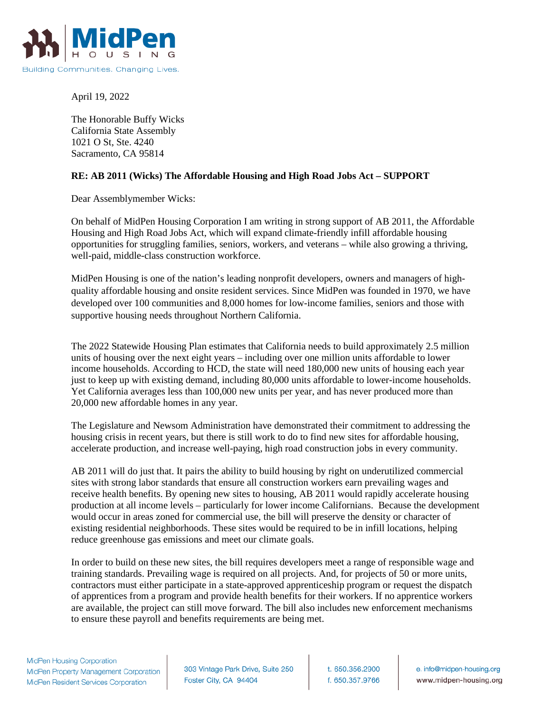

April 19, 2022

The Honorable Buffy Wicks California State Assembly 1021 O St, Ste. 4240 Sacramento, CA 95814

## **RE: AB 2011 (Wicks) The Affordable Housing and High Road Jobs Act – SUPPORT**

Dear Assemblymember Wicks:

On behalf of MidPen Housing Corporation I am writing in strong support of AB 2011, the Affordable Housing and High Road Jobs Act, which will expand climate-friendly infill affordable housing opportunities for struggling families, seniors, workers, and veterans – while also growing a thriving, well-paid, middle-class construction workforce.

MidPen Housing is one of the nation's leading nonprofit developers, owners and managers of highquality affordable housing and onsite resident services. Since MidPen was founded in 1970, we have developed over 100 communities and 8,000 homes for low-income families, seniors and those with supportive housing needs throughout Northern California.

The 2022 Statewide Housing Plan estimates that California needs to build approximately 2.5 million units of housing over the next eight years – including over one million units affordable to lower income households. According to HCD, the state will need 180,000 new units of housing each year just to keep up with existing demand, including 80,000 units affordable to lower-income households. Yet California averages less than 100,000 new units per year, and has never produced more than 20,000 new affordable homes in any year.

The Legislature and Newsom Administration have demonstrated their commitment to addressing the housing crisis in recent years, but there is still work to do to find new sites for affordable housing, accelerate production, and increase well-paying, high road construction jobs in every community.

AB 2011 will do just that. It pairs the ability to build housing by right on underutilized commercial sites with strong labor standards that ensure all construction workers earn prevailing wages and receive health benefits. By opening new sites to housing, AB 2011 would rapidly accelerate housing production at all income levels – particularly for lower income Californians. Because the development would occur in areas zoned for commercial use, the bill will preserve the density or character of existing residential neighborhoods. These sites would be required to be in infill locations, helping reduce greenhouse gas emissions and meet our climate goals.

In order to build on these new sites, the bill requires developers meet a range of responsible wage and training standards. Prevailing wage is required on all projects. And, for projects of 50 or more units, contractors must either participate in a state-approved apprenticeship program or request the dispatch of apprentices from a program and provide health benefits for their workers. If no apprentice workers are available, the project can still move forward. The bill also includes new enforcement mechanisms to ensure these payroll and benefits requirements are being met.

303 Vintage Park Drive, Suite 250 Foster City, CA 94404

t. 650.356.2900 f. 650.357.9766

e. info@midpen-housing.org www.midpen-housing.org